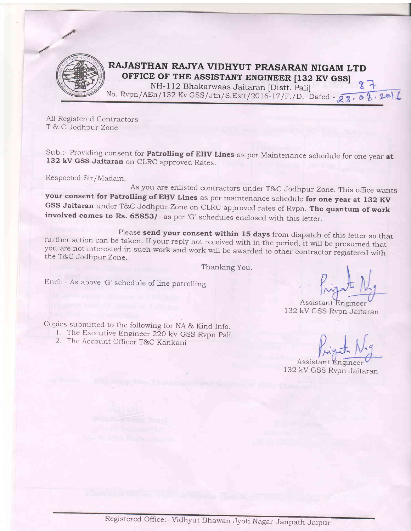

## RAJASTHAN RAJYA VIDHYUT PRASARAN NIGAM LTD

**OFFICE OF THE ASSISTANT ENGINEER [132 KV GSS]**<br>NH-112 Bhakarwaas Jaitaran [Distt. Pali] 87 No. Rvpn/AEn/132 Kv GSS/Jtn/S.Estt/2016-17/F./D. Dated:  $\sqrt{3}$ .

All Registered Contractors T & C Jodhpur Zone

Sub.:- Providing consent for **Patrolling of EHV Lines** as per Maintenance schedule for one year at 132 kV GSS Jaitaran on CLRC approved Rates.

Respccted Sir/Madam,

As you are enlisted contractors under T&C Jodhpur Zone. This office wants<br>your consent for Patrolling of EHV Lines as per maintenance schedule for one year at 132 KV GSS Jaitaran under T&C Jodhpur Zone on CLRC approved rates of Rvpn. The quantum of work involved comes to Rs. 65853/- as per 'G' schedules enclosed with this letter.

Please **send your consent within 15 days** from dispatch of this letter so that<br>further action can be taken. If your reply not received with in the period, it will be presumed that<br>you are not interested in such work and wo

Thanking You.

Encl: - As above 'G'schedule of line patrolling.

Assistant Enginee 1,32 kV GSS Rvpn Jaitaran

132 kV GSS Rvpn Jaitaran

Assistant Eng

Copies submitted to the following for NA & Kind Info.

- <sup>I</sup>. The Executive Engineer 22O kV GSS Rvpn pali
- 2. The Account Officer T&C Kankani

Registered Office:- Vidhyut Bhawan Jyoti Nagar Janpath Jaipur